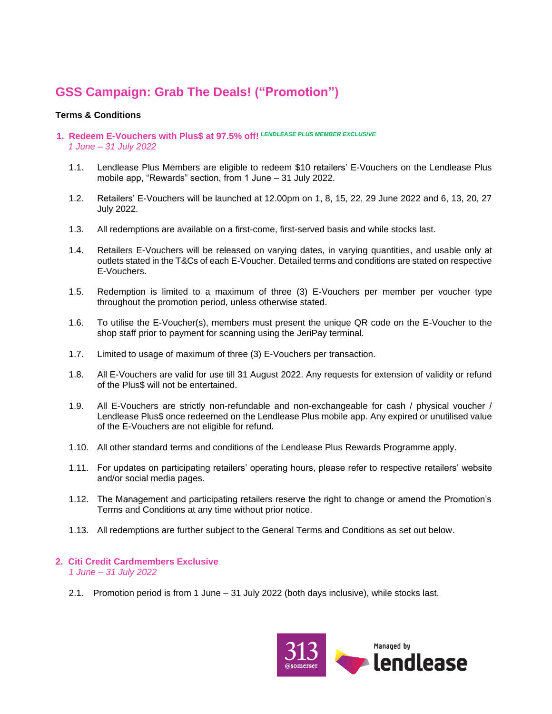# **GSS Campaign: Grab The Deals! ("Promotion")**

## **Terms & Conditions**

- **1. Redeem E-Vouchers with Plus\$ at 97.5% off!** *LENDLEASE PLUS MEMBER EXCLUSIVE 1 June – 31 July 2022*
	- 1.1. Lendlease Plus Members are eligible to redeem \$10 retailers' E-Vouchers on the Lendlease Plus mobile app, "Rewards" section, from 1 June – 31 July 2022.
	- 1.2. Retailers' E-Vouchers will be launched at 12.00pm on 1, 8, 15, 22, 29 June 2022 and 6, 13, 20, 27 July 2022.
	- 1.3. All redemptions are available on a first-come, first-served basis and while stocks last.
	- 1.4. Retailers E-Vouchers will be released on varying dates, in varying quantities, and usable only at outlets stated in the T&Cs of each E-Voucher. Detailed terms and conditions are stated on respective E-Vouchers.
	- 1.5. Redemption is limited to a maximum of three (3) E-Vouchers per member per voucher type throughout the promotion period, unless otherwise stated.
	- 1.6. To utilise the E-Voucher(s), members must present the unique QR code on the E-Voucher to the shop staff prior to payment for scanning using the JeriPay terminal.
	- 1.7. Limited to usage of maximum of three (3) E-Vouchers per transaction.
	- 1.8. All E-Vouchers are valid for use till 31 August 2022. Any requests for extension of validity or refund of the Plus\$ will not be entertained.
	- 1.9. All E-Vouchers are strictly non-refundable and non-exchangeable for cash / physical voucher / Lendlease Plus\$ once redeemed on the Lendlease Plus mobile app. Any expired or unutilised value of the E-Vouchers are not eligible for refund.
	- 1.10. All other standard terms and conditions of the Lendlease Plus Rewards Programme apply.
	- 1.11. For updates on participating retailers' operating hours, please refer to respective retailers' website and/or social media pages.
	- 1.12. The Management and participating retailers reserve the right to change or amend the Promotion's Terms and Conditions at any time without prior notice.
	- 1.13. All redemptions are further subject to the General Terms and Conditions as set out below.

#### **2. Citi Credit Cardmembers Exclusive** *1 June – 31 July 2022*

2.1. Promotion period is from 1 June – 31 July 2022 (both days inclusive), while stocks last.

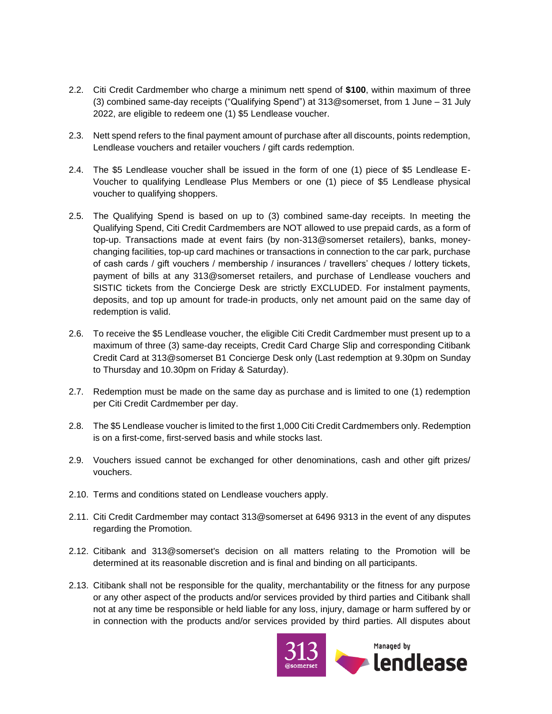- 2.2. Citi Credit Cardmember who charge a minimum nett spend of **\$100**, within maximum of three (3) combined same-day receipts ("Qualifying Spend") at 313@somerset, from 1 June – 31 July 2022, are eligible to redeem one (1) \$5 Lendlease voucher.
- 2.3. Nett spend refers to the final payment amount of purchase after all discounts, points redemption, Lendlease vouchers and retailer vouchers / gift cards redemption.
- 2.4. The \$5 Lendlease voucher shall be issued in the form of one (1) piece of \$5 Lendlease E-Voucher to qualifying Lendlease Plus Members or one (1) piece of \$5 Lendlease physical voucher to qualifying shoppers.
- 2.5. The Qualifying Spend is based on up to (3) combined same-day receipts. In meeting the Qualifying Spend, Citi Credit Cardmembers are NOT allowed to use prepaid cards, as a form of top-up. Transactions made at event fairs (by non-313@somerset retailers), banks, moneychanging facilities, top-up card machines or transactions in connection to the car park, purchase of cash cards / gift vouchers / membership / insurances / travellers' cheques / lottery tickets, payment of bills at any 313@somerset retailers, and purchase of Lendlease vouchers and SISTIC tickets from the Concierge Desk are strictly EXCLUDED. For instalment payments, deposits, and top up amount for trade-in products, only net amount paid on the same day of redemption is valid.
- 2.6. To receive the \$5 Lendlease voucher, the eligible Citi Credit Cardmember must present up to a maximum of three (3) same-day receipts, Credit Card Charge Slip and corresponding Citibank Credit Card at 313@somerset B1 Concierge Desk only (Last redemption at 9.30pm on Sunday to Thursday and 10.30pm on Friday & Saturday).
- 2.7. Redemption must be made on the same day as purchase and is limited to one (1) redemption per Citi Credit Cardmember per day.
- 2.8. The \$5 Lendlease voucher is limited to the first 1,000 Citi Credit Cardmembers only. Redemption is on a first-come, first-served basis and while stocks last.
- 2.9. Vouchers issued cannot be exchanged for other denominations, cash and other gift prizes/ vouchers.
- 2.10. Terms and conditions stated on Lendlease vouchers apply.
- 2.11. Citi Credit Cardmember may contact 313@somerset at 6496 9313 in the event of any disputes regarding the Promotion.
- 2.12. Citibank and 313@somerset's decision on all matters relating to the Promotion will be determined at its reasonable discretion and is final and binding on all participants.
- 2.13. Citibank shall not be responsible for the quality, merchantability or the fitness for any purpose or any other aspect of the products and/or services provided by third parties and Citibank shall not at any time be responsible or held liable for any loss, injury, damage or harm suffered by or in connection with the products and/or services provided by third parties. All disputes about

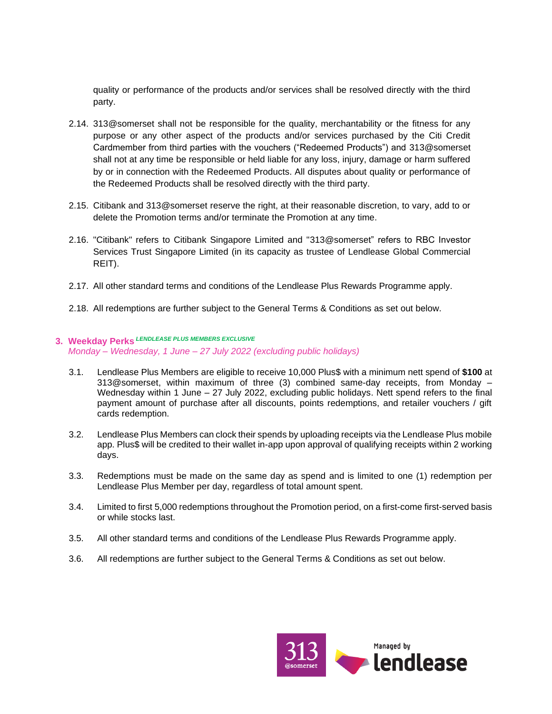quality or performance of the products and/or services shall be resolved directly with the third party.

- 2.14. 313@somerset shall not be responsible for the quality, merchantability or the fitness for any purpose or any other aspect of the products and/or services purchased by the Citi Credit Cardmember from third parties with the vouchers ("Redeemed Products") and 313@somerset shall not at any time be responsible or held liable for any loss, injury, damage or harm suffered by or in connection with the Redeemed Products. All disputes about quality or performance of the Redeemed Products shall be resolved directly with the third party.
- 2.15. Citibank and 313@somerset reserve the right, at their reasonable discretion, to vary, add to or delete the Promotion terms and/or terminate the Promotion at any time.
- 2.16. "Citibank" refers to Citibank Singapore Limited and "313@somerset" refers to RBC Investor Services Trust Singapore Limited (in its capacity as trustee of Lendlease Global Commercial REIT).
- 2.17. All other standard terms and conditions of the Lendlease Plus Rewards Programme apply.
- 2.18. All redemptions are further subject to the General Terms & Conditions as set out below.

## **3. Weekday Perks** *LENDLEASE PLUS MEMBERS EXCLUSIVE Monday – Wednesday, 1 June – 27 July 2022 (excluding public holidays)*

- 3.1. Lendlease Plus Members are eligible to receive 10,000 Plus\$ with a minimum nett spend of **\$100** at 313@somerset, within maximum of three (3) combined same-day receipts, from Monday – Wednesday within 1 June – 27 July 2022, excluding public holidays. Nett spend refers to the final payment amount of purchase after all discounts, points redemptions, and retailer vouchers / gift cards redemption.
- 3.2. Lendlease Plus Members can clock their spends by uploading receipts via the Lendlease Plus mobile app. Plus\$ will be credited to their wallet in-app upon approval of qualifying receipts within 2 working days.
- 3.3. Redemptions must be made on the same day as spend and is limited to one (1) redemption per Lendlease Plus Member per day, regardless of total amount spent.
- 3.4. Limited to first 5,000 redemptions throughout the Promotion period, on a first-come first-served basis or while stocks last.
- 3.5. All other standard terms and conditions of the Lendlease Plus Rewards Programme apply.
- 3.6. All redemptions are further subject to the General Terms & Conditions as set out below.

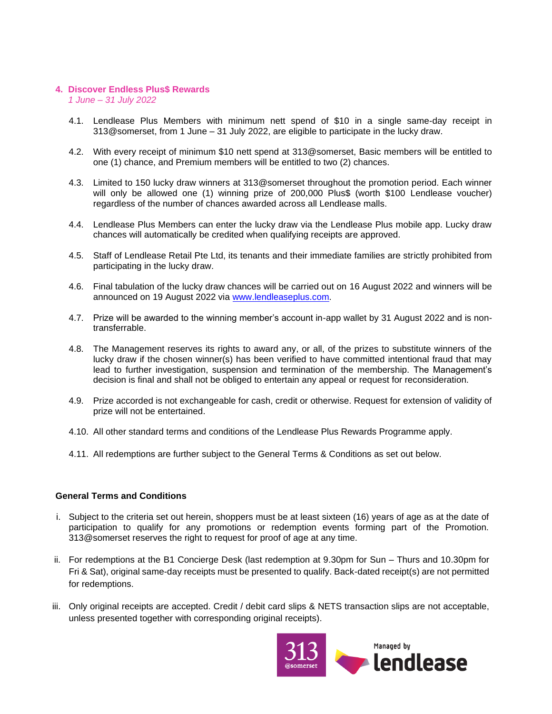### **4. Discover Endless Plus\$ Rewards**

*1 June – 31 July 2022* 

- 4.1. Lendlease Plus Members with minimum nett spend of \$10 in a single same-day receipt in 313@somerset, from 1 June – 31 July 2022, are eligible to participate in the lucky draw.
- 4.2. With every receipt of minimum \$10 nett spend at 313@somerset, Basic members will be entitled to one (1) chance, and Premium members will be entitled to two (2) chances.
- 4.3. Limited to 150 lucky draw winners at 313@somerset throughout the promotion period. Each winner will only be allowed one (1) winning prize of 200,000 Plus\$ (worth \$100 Lendlease voucher) regardless of the number of chances awarded across all Lendlease malls.
- 4.4. Lendlease Plus Members can enter the lucky draw via the Lendlease Plus mobile app. Lucky draw chances will automatically be credited when qualifying receipts are approved.
- 4.5. Staff of Lendlease Retail Pte Ltd, its tenants and their immediate families are strictly prohibited from participating in the lucky draw.
- 4.6. Final tabulation of the lucky draw chances will be carried out on 16 August 2022 and winners will be announced on 19 August 2022 via [www.lendleaseplus.com.](http://www.lendleaseplus.com/)
- 4.7. Prize will be awarded to the winning member's account in-app wallet by 31 August 2022 and is nontransferrable.
- 4.8. The Management reserves its rights to award any, or all, of the prizes to substitute winners of the lucky draw if the chosen winner(s) has been verified to have committed intentional fraud that may lead to further investigation, suspension and termination of the membership. The Management's decision is final and shall not be obliged to entertain any appeal or request for reconsideration.
- 4.9. Prize accorded is not exchangeable for cash, credit or otherwise. Request for extension of validity of prize will not be entertained.
- 4.10. All other standard terms and conditions of the Lendlease Plus Rewards Programme apply.
- 4.11. All redemptions are further subject to the General Terms & Conditions as set out below.

## **General Terms and Conditions**

- i. Subject to the criteria set out herein, shoppers must be at least sixteen (16) years of age as at the date of participation to qualify for any promotions or redemption events forming part of the Promotion. 313@somerset reserves the right to request for proof of age at any time.
- ii. For redemptions at the B1 Concierge Desk (last redemption at 9.30pm for Sun Thurs and 10.30pm for Fri & Sat), original same-day receipts must be presented to qualify. Back-dated receipt(s) are not permitted for redemptions.
- iii. Only original receipts are accepted. Credit / debit card slips & NETS transaction slips are not acceptable, unless presented together with corresponding original receipts).

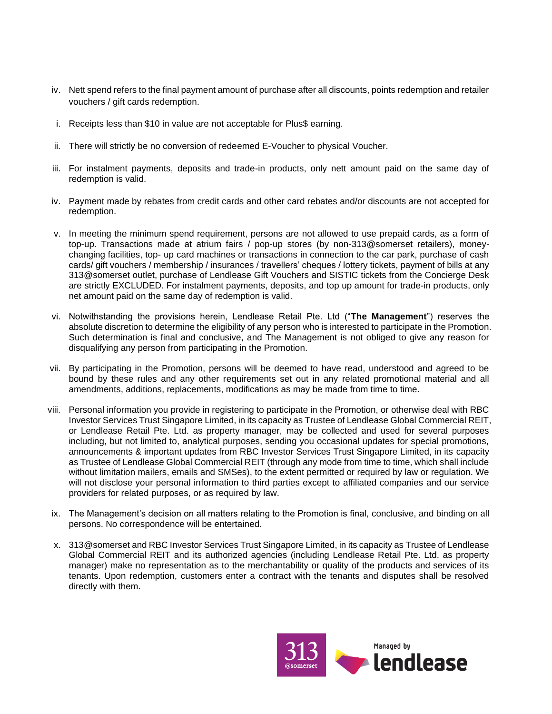- iv. Nett spend refers to the final payment amount of purchase after all discounts, points redemption and retailer vouchers / gift cards redemption.
- i. Receipts less than \$10 in value are not acceptable for Plus\$ earning.
- ii. There will strictly be no conversion of redeemed E-Voucher to physical Voucher.
- iii. For instalment payments, deposits and trade-in products, only nett amount paid on the same day of redemption is valid.
- iv. Payment made by rebates from credit cards and other card rebates and/or discounts are not accepted for redemption.
- v. In meeting the minimum spend requirement, persons are not allowed to use prepaid cards, as a form of top-up. Transactions made at atrium fairs / pop-up stores (by non-313@somerset retailers), moneychanging facilities, top- up card machines or transactions in connection to the car park, purchase of cash cards/ gift vouchers / membership / insurances / travellers' cheques / lottery tickets, payment of bills at any 313@somerset outlet, purchase of Lendlease Gift Vouchers and SISTIC tickets from the Concierge Desk are strictly EXCLUDED. For instalment payments, deposits, and top up amount for trade-in products, only net amount paid on the same day of redemption is valid.
- vi. Notwithstanding the provisions herein, Lendlease Retail Pte. Ltd ("**The Management**") reserves the absolute discretion to determine the eligibility of any person who is interested to participate in the Promotion. Such determination is final and conclusive, and The Management is not obliged to give any reason for disqualifying any person from participating in the Promotion.
- vii. By participating in the Promotion, persons will be deemed to have read, understood and agreed to be bound by these rules and any other requirements set out in any related promotional material and all amendments, additions, replacements, modifications as may be made from time to time.
- viii. Personal information you provide in registering to participate in the Promotion, or otherwise deal with RBC Investor Services Trust Singapore Limited, in its capacity as Trustee of Lendlease Global Commercial REIT, or Lendlease Retail Pte. Ltd. as property manager, may be collected and used for several purposes including, but not limited to, analytical purposes, sending you occasional updates for special promotions, announcements & important updates from RBC Investor Services Trust Singapore Limited, in its capacity as Trustee of Lendlease Global Commercial REIT (through any mode from time to time, which shall include without limitation mailers, emails and SMSes), to the extent permitted or required by law or regulation. We will not disclose your personal information to third parties except to affiliated companies and our service providers for related purposes, or as required by law.
- ix. The Management's decision on all matters relating to the Promotion is final, conclusive, and binding on all persons. No correspondence will be entertained.
- x. 313@somerset and RBC Investor Services Trust Singapore Limited, in its capacity as Trustee of Lendlease Global Commercial REIT and its authorized agencies (including Lendlease Retail Pte. Ltd. as property manager) make no representation as to the merchantability or quality of the products and services of its tenants. Upon redemption, customers enter a contract with the tenants and disputes shall be resolved directly with them.